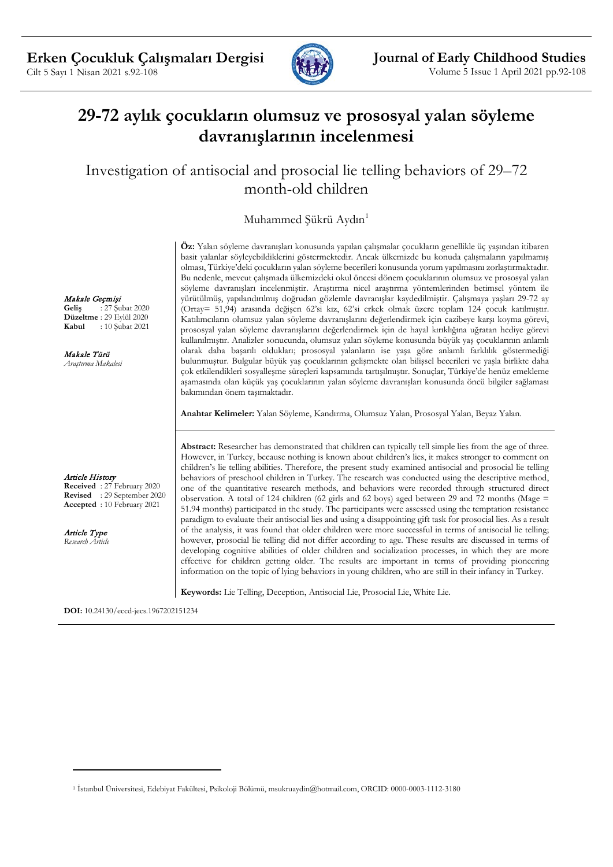

# **29-72 aylık çocukların olumsuz ve prososyal yalan söyleme davranışlarının incelenmesi**

Investigation of antisocial and prosocial lie telling behaviors of 29–72 month-old children

Muhammed Şükrü Aydın<sup>[1](#page-0-0)</sup>

Makale Geçmişi

**Geliş** : 27 Şubat 2020 **Düzeltme** : 29 Eylül 2020<br>**Kabul** : 10 Subat 2021 **Kabul** : 10 Şubat 2021

Makale Türü *Araştırma Makalesi*

Article History

**Received** : 27 February 2020 **Revised** : 29 September 2020 **Accepted** : 10 February 2021

Article Type *Research Article*

 $\overline{a}$ 

**Öz:** Yalan söyleme davranışları konusunda yapılan çalışmalar çocukların genellikle üç yaşından itibaren basit yalanlar söyleyebildiklerini göstermektedir. Ancak ülkemizde bu konuda çalışmaların yapılmamış olması, Türkiye'deki çocukların yalan söyleme becerileri konusunda yorum yapılmasını zorlaştırmaktadır. Bu nedenle, mevcut çalışmada ülkemizdeki okul öncesi dönem çocuklarının olumsuz ve prososyal yalan söyleme davranışları incelenmiştir. Araştırma nicel araştırma yöntemlerinden betimsel yöntem ile yürütülmüş, yapılandırılmış doğrudan gözlemle davranışlar kaydedilmiştir. Çalışmaya yaşları 29-72 ay (Ortay= 51,94) arasında değişen 62'si kız, 62'si erkek olmak üzere toplam 124 çocuk katılmıştır. Katılımcıların olumsuz yalan söyleme davranışlarını değerlendirmek için cazibeye karşı koyma görevi, prososyal yalan söyleme davranışlarını değerlendirmek için de hayal kırıklığına uğratan hediye görevi kullanılmıştır. Analizler sonucunda, olumsuz yalan söyleme konusunda büyük yaş çocuklarının anlamlı olarak daha başarılı oldukları; prososyal yalanların ise yaşa göre anlamlı farklılık göstermediği bulunmuştur. Bulgular büyük yaş çocuklarının gelişmekte olan bilişsel becerileri ve yaşla birlikte daha çok etkilendikleri sosyalleşme süreçleri kapsamında tartışılmıştır. Sonuçlar, Türkiye'de henüz emekleme aşamasında olan küçük yaş çocuklarının yalan söyleme davranışları konusunda öncü bilgiler sağlaması bakımından önem taşımaktadır.

**Anahtar Kelimeler:** Yalan Söyleme, Kandırma, Olumsuz Yalan, Prososyal Yalan, Beyaz Yalan.

**Abstract:** Researcher has demonstrated that children can typically tell simple lies from the age of three. However, in Turkey, because nothing is known about children's lies, it makes stronger to comment on children's lie telling abilities. Therefore, the present study examined antisocial and prosocial lie telling behaviors of preschool children in Turkey. The research was conducted using the descriptive method, one of the quantitative research methods, and behaviors were recorded through structured direct observation. A total of 124 children (62 girls and 62 boys) aged between 29 and 72 months (Mage = 51.94 months) participated in the study. The participants were assessed using the temptation resistance paradigm to evaluate their antisocial lies and using a disappointing gift task for prosocial lies. As a result of the analysis, it was found that older children were more successful in terms of antisocial lie telling; however, prosocial lie telling did not differ according to age. These results are discussed in terms of developing cognitive abilities of older children and socialization processes, in which they are more effective for children getting older. The results are important in terms of providing pioneering information on the topic of lying behaviors in young children, who are still in their infancy in Turkey.

**Keywords:** Lie Telling, Deception, Antisocial Lie, Prosocial Lie, White Lie.

**DOI:** 10.24130/eccd-jecs.1967202151234

<span id="page-0-0"></span><sup>1</sup> İstanbul Üniversitesi, Edebiyat Fakültesi, Psikoloji Bölümü, msukruaydin@hotmail.com, ORCID: 0000-0003-1112-3180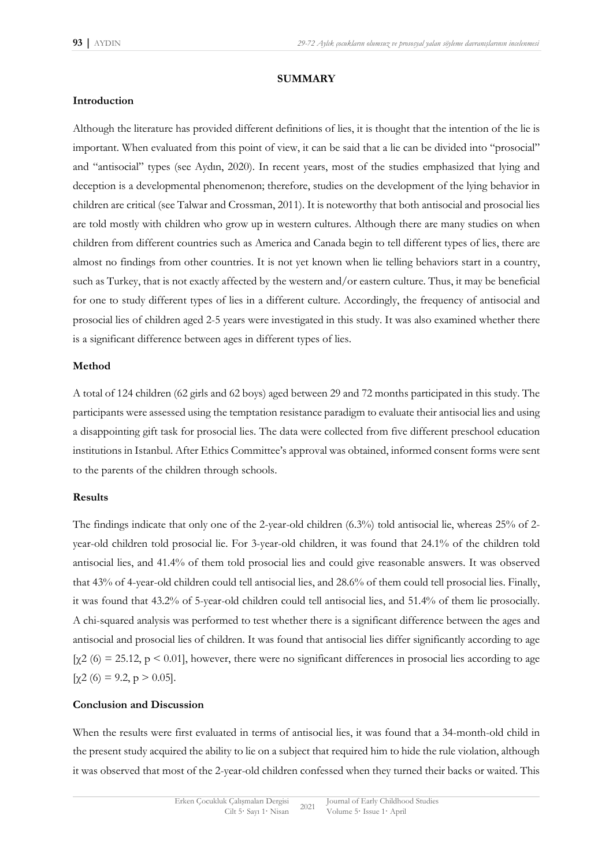#### **SUMMARY**

### **Introduction**

Although the literature has provided different definitions of lies, it is thought that the intention of the lie is important. When evaluated from this point of view, it can be said that a lie can be divided into "prosocial" and "antisocial" types (see Aydın, 2020). In recent years, most of the studies emphasized that lying and deception is a developmental phenomenon; therefore, studies on the development of the lying behavior in children are critical (see Talwar and Crossman, 2011). It is noteworthy that both antisocial and prosocial lies are told mostly with children who grow up in western cultures. Although there are many studies on when children from different countries such as America and Canada begin to tell different types of lies, there are almost no findings from other countries. It is not yet known when lie telling behaviors start in a country, such as Turkey, that is not exactly affected by the western and/or eastern culture. Thus, it may be beneficial for one to study different types of lies in a different culture. Accordingly, the frequency of antisocial and prosocial lies of children aged 2-5 years were investigated in this study. It was also examined whether there is a significant difference between ages in different types of lies.

### **Method**

A total of 124 children (62 girls and 62 boys) aged between 29 and 72 months participated in this study. The participants were assessed using the temptation resistance paradigm to evaluate their antisocial lies and using a disappointing gift task for prosocial lies. The data were collected from five different preschool education institutions in Istanbul. After Ethics Committee's approval was obtained, informed consent forms were sent to the parents of the children through schools.

#### **Results**

The findings indicate that only one of the 2-year-old children (6.3%) told antisocial lie, whereas 25% of 2 year-old children told prosocial lie. For 3-year-old children, it was found that 24.1% of the children told antisocial lies, and 41.4% of them told prosocial lies and could give reasonable answers. It was observed that 43% of 4-year-old children could tell antisocial lies, and 28.6% of them could tell prosocial lies. Finally, it was found that 43.2% of 5-year-old children could tell antisocial lies, and 51.4% of them lie prosocially. A chi-squared analysis was performed to test whether there is a significant difference between the ages and antisocial and prosocial lies of children. It was found that antisocial lies differ significantly according to age [ $\chi$ 2 (6) = 25.12, p < 0.01], however, there were no significant differences in prosocial lies according to age [ $\chi$ 2 (6) = 9.2, p > 0.05].

## **Conclusion and Discussion**

When the results were first evaluated in terms of antisocial lies, it was found that a 34-month-old child in the present study acquired the ability to lie on a subject that required him to hide the rule violation, although it was observed that most of the 2-year-old children confessed when they turned their backs or waited. This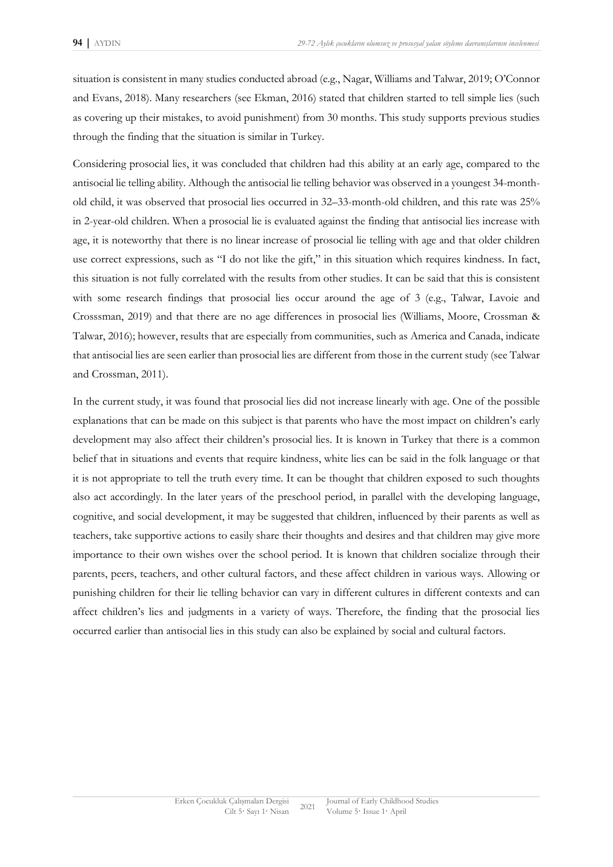situation is consistent in many studies conducted abroad (e.g., Nagar, Williams and Talwar, 2019; O'Connor and Evans, 2018). Many researchers (see Ekman, 2016) stated that children started to tell simple lies (such as covering up their mistakes, to avoid punishment) from 30 months. This study supports previous studies through the finding that the situation is similar in Turkey.

Considering prosocial lies, it was concluded that children had this ability at an early age, compared to the antisocial lie telling ability. Although the antisocial lie telling behavior was observed in a youngest 34-monthold child, it was observed that prosocial lies occurred in 32–33-month-old children, and this rate was 25% in 2-year-old children. When a prosocial lie is evaluated against the finding that antisocial lies increase with age, it is noteworthy that there is no linear increase of prosocial lie telling with age and that older children use correct expressions, such as "I do not like the gift," in this situation which requires kindness. In fact, this situation is not fully correlated with the results from other studies. It can be said that this is consistent with some research findings that prosocial lies occur around the age of 3 (e.g., Talwar, Lavoie and Crosssman, 2019) and that there are no age differences in prosocial lies (Williams, Moore, Crossman & Talwar, 2016); however, results that are especially from communities, such as America and Canada, indicate that antisocial lies are seen earlier than prosocial lies are different from those in the current study (see Talwar and Crossman, 2011).

In the current study, it was found that prosocial lies did not increase linearly with age. One of the possible explanations that can be made on this subject is that parents who have the most impact on children's early development may also affect their children's prosocial lies. It is known in Turkey that there is a common belief that in situations and events that require kindness, white lies can be said in the folk language or that it is not appropriate to tell the truth every time. It can be thought that children exposed to such thoughts also act accordingly. In the later years of the preschool period, in parallel with the developing language, cognitive, and social development, it may be suggested that children, influenced by their parents as well as teachers, take supportive actions to easily share their thoughts and desires and that children may give more importance to their own wishes over the school period. It is known that children socialize through their parents, peers, teachers, and other cultural factors, and these affect children in various ways. Allowing or punishing children for their lie telling behavior can vary in different cultures in different contexts and can affect children's lies and judgments in a variety of ways. Therefore, the finding that the prosocial lies occurred earlier than antisocial lies in this study can also be explained by social and cultural factors.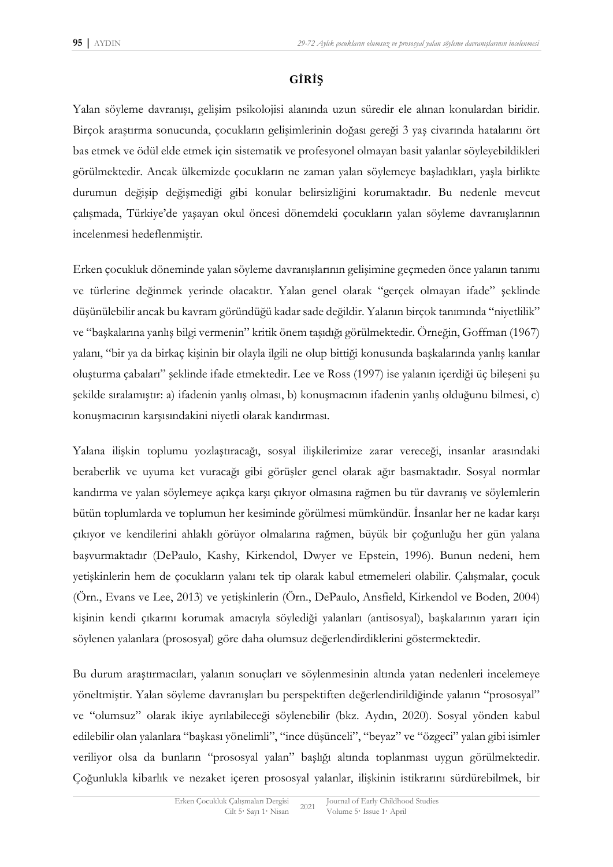## **GİRİŞ**

Yalan söyleme davranışı, gelişim psikolojisi alanında uzun süredir ele alınan konulardan biridir. Birçok araştırma sonucunda, çocukların gelişimlerinin doğası gereği 3 yaş civarında hatalarını ört bas etmek ve ödül elde etmek için sistematik ve profesyonel olmayan basit yalanlar söyleyebildikleri görülmektedir. Ancak ülkemizde çocukların ne zaman yalan söylemeye başladıkları, yaşla birlikte durumun değişip değişmediği gibi konular belirsizliğini korumaktadır. Bu nedenle mevcut çalışmada, Türkiye'de yaşayan okul öncesi dönemdeki çocukların yalan söyleme davranışlarının incelenmesi hedeflenmiştir.

Erken çocukluk döneminde yalan söyleme davranışlarının gelişimine geçmeden önce yalanın tanımı ve türlerine değinmek yerinde olacaktır. Yalan genel olarak "gerçek olmayan ifade" şeklinde düşünülebilir ancak bu kavram göründüğü kadar sade değildir. Yalanın birçok tanımında "niyetlilik" ve "başkalarına yanlış bilgi vermenin" kritik önem taşıdığı görülmektedir. Örneğin, Goffman (1967) yalanı, "bir ya da birkaç kişinin bir olayla ilgili ne olup bittiği konusunda başkalarında yanlış kanılar oluşturma çabaları" şeklinde ifade etmektedir. Lee ve Ross (1997) ise yalanın içerdiği üç bileşeni şu şekilde sıralamıştır: a) ifadenin yanlış olması, b) konuşmacının ifadenin yanlış olduğunu bilmesi, c) konuşmacının karşısındakini niyetli olarak kandırması.

Yalana ilişkin toplumu yozlaştıracağı, sosyal ilişkilerimize zarar vereceği, insanlar arasındaki beraberlik ve uyuma ket vuracağı gibi görüşler genel olarak ağır basmaktadır. Sosyal normlar kandırma ve yalan söylemeye açıkça karşı çıkıyor olmasına rağmen bu tür davranış ve söylemlerin bütün toplumlarda ve toplumun her kesiminde görülmesi mümkündür. İnsanlar her ne kadar karşı çıkıyor ve kendilerini ahlaklı görüyor olmalarına rağmen, büyük bir çoğunluğu her gün yalana başvurmaktadır (DePaulo, Kashy, Kirkendol, Dwyer ve Epstein, 1996). Bunun nedeni, hem yetişkinlerin hem de çocukların yalanı tek tip olarak kabul etmemeleri olabilir. Çalışmalar, çocuk (Örn., Evans ve Lee, 2013) ve yetişkinlerin (Örn., DePaulo, Ansfield, Kirkendol ve Boden, 2004) kişinin kendi çıkarını korumak amacıyla söylediği yalanları (antisosyal), başkalarının yararı için söylenen yalanlara (prososyal) göre daha olumsuz değerlendirdiklerini göstermektedir.

Bu durum araştırmacıları, yalanın sonuçları ve söylenmesinin altında yatan nedenleri incelemeye yöneltmiştir. Yalan söyleme davranışları bu perspektiften değerlendirildiğinde yalanın "prososyal" ve "olumsuz" olarak ikiye ayrılabileceği söylenebilir (bkz. Aydın, 2020). Sosyal yönden kabul edilebilir olan yalanlara "başkası yönelimli", "ince düşünceli", "beyaz" ve "özgeci" yalan gibi isimler veriliyor olsa da bunların "prososyal yalan" başlığı altında toplanması uygun görülmektedir. Çoğunlukla kibarlık ve nezaket içeren prososyal yalanlar, ilişkinin istikrarını sürdürebilmek, bir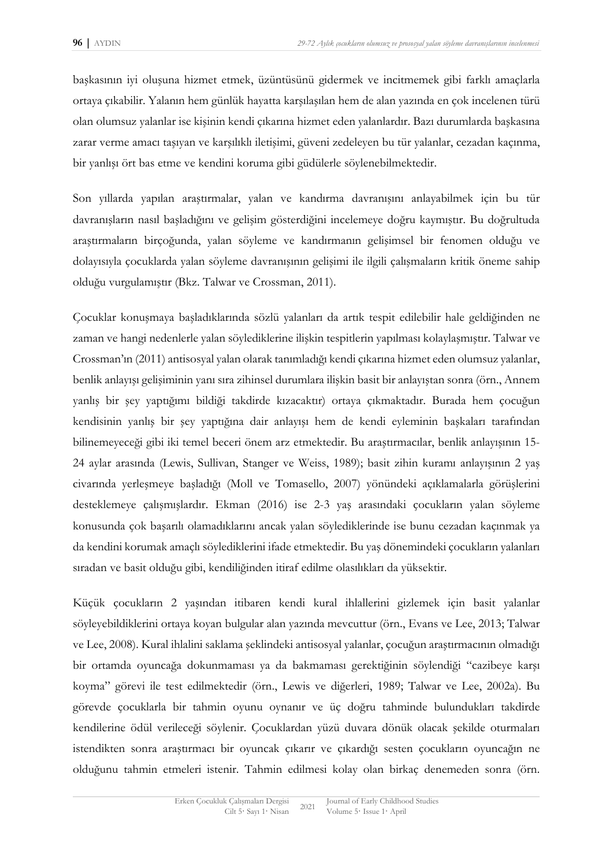başkasının iyi oluşuna hizmet etmek, üzüntüsünü gidermek ve incitmemek gibi farklı amaçlarla ortaya çıkabilir. Yalanın hem günlük hayatta karşılaşılan hem de alan yazında en çok incelenen türü olan olumsuz yalanlar ise kişinin kendi çıkarına hizmet eden yalanlardır. Bazı durumlarda başkasına zarar verme amacı taşıyan ve karşılıklı iletişimi, güveni zedeleyen bu tür yalanlar, cezadan kaçınma, bir yanlışı ört bas etme ve kendini koruma gibi güdülerle söylenebilmektedir.

Son yıllarda yapılan araştırmalar, yalan ve kandırma davranışını anlayabilmek için bu tür davranışların nasıl başladığını ve gelişim gösterdiğini incelemeye doğru kaymıştır. Bu doğrultuda araştırmaların birçoğunda, yalan söyleme ve kandırmanın gelişimsel bir fenomen olduğu ve dolayısıyla çocuklarda yalan söyleme davranışının gelişimi ile ilgili çalışmaların kritik öneme sahip olduğu vurgulamıştır (Bkz. Talwar ve Crossman, 2011).

Çocuklar konuşmaya başladıklarında sözlü yalanları da artık tespit edilebilir hale geldiğinden ne zaman ve hangi nedenlerle yalan söylediklerine ilişkin tespitlerin yapılması kolaylaşmıştır. Talwar ve Crossman'ın (2011) antisosyal yalan olarak tanımladığı kendi çıkarına hizmet eden olumsuz yalanlar, benlik anlayışı gelişiminin yanı sıra zihinsel durumlara ilişkin basit bir anlayıştan sonra (örn., Annem yanlış bir şey yaptığımı bildiği takdirde kızacaktır) ortaya çıkmaktadır. Burada hem çocuğun kendisinin yanlış bir şey yaptığına dair anlayışı hem de kendi eyleminin başkaları tarafından bilinemeyeceği gibi iki temel beceri önem arz etmektedir. Bu araştırmacılar, benlik anlayışının 15- 24 aylar arasında (Lewis, Sullivan, Stanger ve Weiss, 1989); basit zihin kuramı anlayışının 2 yaş civarında yerleşmeye başladığı (Moll ve Tomasello, 2007) yönündeki açıklamalarla görüşlerini desteklemeye çalışmışlardır. Ekman (2016) ise 2-3 yaş arasındaki çocukların yalan söyleme konusunda çok başarılı olamadıklarını ancak yalan söylediklerinde ise bunu cezadan kaçınmak ya da kendini korumak amaçlı söylediklerini ifade etmektedir. Bu yaş dönemindeki çocukların yalanları sıradan ve basit olduğu gibi, kendiliğinden itiraf edilme olasılıkları da yüksektir.

Küçük çocukların 2 yaşından itibaren kendi kural ihlallerini gizlemek için basit yalanlar söyleyebildiklerini ortaya koyan bulgular alan yazında mevcuttur (örn., Evans ve Lee, 2013; Talwar ve Lee, 2008). Kural ihlalini saklama şeklindeki antisosyal yalanlar, çocuğun araştırmacının olmadığı bir ortamda oyuncağa dokunmaması ya da bakmaması gerektiğinin söylendiği "cazibeye karşı koyma" görevi ile test edilmektedir (örn., Lewis ve diğerleri, 1989; Talwar ve Lee, 2002a). Bu görevde çocuklarla bir tahmin oyunu oynanır ve üç doğru tahminde bulundukları takdirde kendilerine ödül verileceği söylenir. Çocuklardan yüzü duvara dönük olacak şekilde oturmaları istendikten sonra araştırmacı bir oyuncak çıkarır ve çıkardığı sesten çocukların oyuncağın ne olduğunu tahmin etmeleri istenir. Tahmin edilmesi kolay olan birkaç denemeden sonra (örn.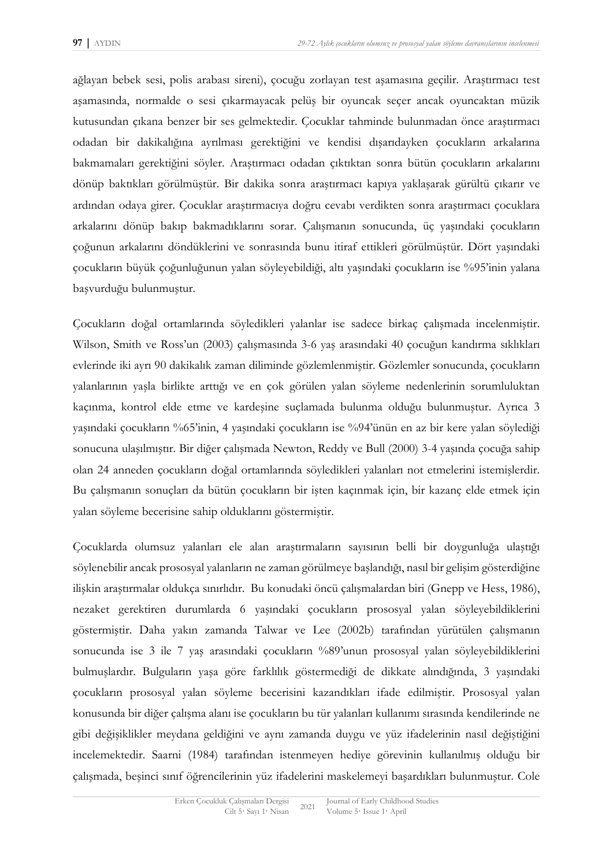ağlayan bebek sesi, polis arabası sireni), çocuğu zorlayan test aşamasına geçilir. Araştırmacı test aşamasında, normalde o sesi çıkarmayacak pelüş bir oyuncak seçer ancak oyuncaktan müzik kutusundan çıkana benzer bir ses gelmektedir. Çocuklar tahminde bulunmadan önce araştırmacı odadan bir dakikalığına ayrılması gerektiğini ve kendisi dışarıdayken çocukların arkalarına bakmamaları gerektiğini söyler. Araştırmacı odadan çıktıktan sonra bütün çocukların arkalarını dönüp baktıkları görülmüştür. Bir dakika sonra araştırmacı kapıya yaklaşarak gürültü çıkarır ve ardından odaya girer. Çocuklar araştırmacıya doğru cevabı verdikten sonra araştırmacı çocuklara arkalarını dönüp bakıp bakmadıklarını sorar. Çalışmanın sonucunda, üç yaşındaki çocukların çoğunun arkalarını döndüklerini ve sonrasında bunu itiraf ettikleri görülmüştür. Dört yaşındaki çocukların büyük çoğunluğunun yalan söyleyebildiği, altı yaşındaki çocukların ise %95'inin yalana başvurduğu bulunmuştur.

Çocukların doğal ortamlarında söyledikleri yalanlar ise sadece birkaç çalışmada incelenmiştir. Wilson, Smith ve Ross'un (2003) çalışmasında 3-6 yaş arasındaki 40 çocuğun kandırma sıklıkları evlerinde iki ayrı 90 dakikalık zaman diliminde gözlemlenmiştir. Gözlemler sonucunda, çocukların yalanlarının yaşla birlikte arttığı ve en çok görülen yalan söyleme nedenlerinin sorumluluktan kaçınma, kontrol elde etme ve kardeşine suçlamada bulunma olduğu bulunmuştur. Ayrıca 3 yaşındaki çocukların %65'inin, 4 yaşındaki çocukların ise %94'ünün en az bir kere yalan söylediği sonucuna ulaşılmıştır. Bir diğer çalışmada Newton, Reddy ve Bull (2000) 3-4 yaşında çocuğa sahip olan 24 anneden çocukların doğal ortamlarında söyledikleri yalanları not etmelerini istemişlerdir. Bu çalışmanın sonuçları da bütün çocukların bir işten kaçınmak için, bir kazanç elde etmek için yalan söyleme becerisine sahip olduklarını göstermiştir.

Çocuklarda olumsuz yalanları ele alan araştırmaların sayısının belli bir doygunluğa ulaştığı söylenebilir ancak prososyal yalanların ne zaman görülmeye başlandığı, nasıl bir gelişim gösterdiğine ilişkin araştırmalar oldukça sınırlıdır. Bu konudaki öncü çalışmalardan biri (Gnepp ve Hess, 1986), nezaket gerektiren durumlarda 6 yaşındaki çocukların prososyal yalan söyleyebildiklerini göstermiştir. Daha yakın zamanda Talwar ve Lee (2002b) tarafından yürütülen çalışmanın sonucunda ise 3 ile 7 yaş arasındaki çocukların %89'unun prososyal yalan söyleyebildiklerini bulmuşlardır. Bulguların yaşa göre farklılık göstermediği de dikkate alındığında, 3 yaşındaki çocukların prososyal yalan söyleme becerisini kazandıkları ifade edilmiştir. Prososyal yalan konusunda bir diğer çalışma alanı ise çocukların bu tür yalanları kullanımı sırasında kendilerinde ne gibi değişiklikler meydana geldiğini ve aynı zamanda duygu ve yüz ifadelerinin nasıl değiştiğini incelemektedir. Saarni (1984) tarafından istenmeyen hediye görevinin kullanılmış olduğu bir çalışmada, beşinci sınıf öğrencilerinin yüz ifadelerini maskelemeyi başardıkları bulunmuştur. Cole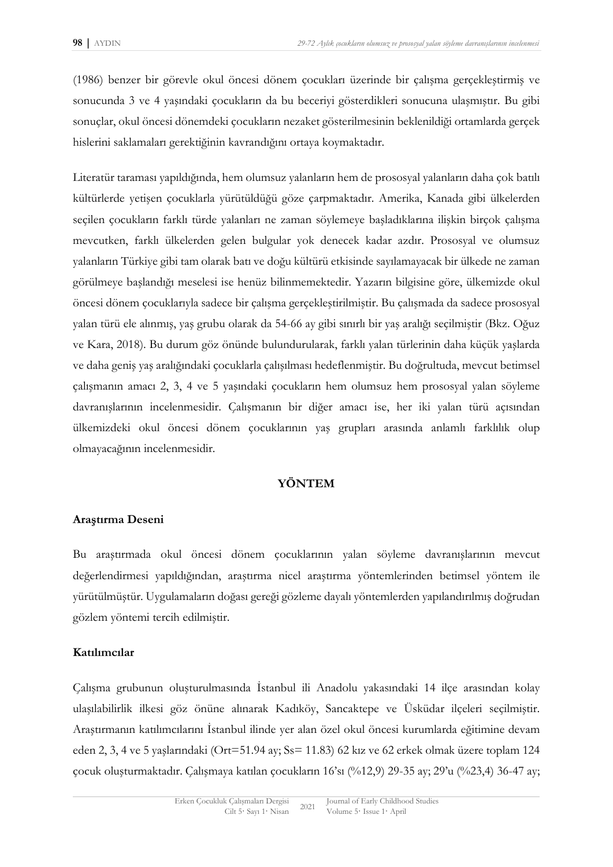(1986) benzer bir görevle okul öncesi dönem çocukları üzerinde bir çalışma gerçekleştirmiş ve sonucunda 3 ve 4 yaşındaki çocukların da bu beceriyi gösterdikleri sonucuna ulaşmıştır. Bu gibi sonuçlar, okul öncesi dönemdeki çocukların nezaket gösterilmesinin beklenildiği ortamlarda gerçek hislerini saklamaları gerektiğinin kavrandığını ortaya koymaktadır.

Literatür taraması yapıldığında, hem olumsuz yalanların hem de prososyal yalanların daha çok batılı kültürlerde yetişen çocuklarla yürütüldüğü göze çarpmaktadır. Amerika, Kanada gibi ülkelerden seçilen çocukların farklı türde yalanları ne zaman söylemeye başladıklarına ilişkin birçok çalışma mevcutken, farklı ülkelerden gelen bulgular yok denecek kadar azdır. Prososyal ve olumsuz yalanların Türkiye gibi tam olarak batı ve doğu kültürü etkisinde sayılamayacak bir ülkede ne zaman görülmeye başlandığı meselesi ise henüz bilinmemektedir. Yazarın bilgisine göre, ülkemizde okul öncesi dönem çocuklarıyla sadece bir çalışma gerçekleştirilmiştir. Bu çalışmada da sadece prososyal yalan türü ele alınmış, yaş grubu olarak da 54-66 ay gibi sınırlı bir yaş aralığı seçilmiştir (Bkz. Oğuz ve Kara, 2018). Bu durum göz önünde bulundurularak, farklı yalan türlerinin daha küçük yaşlarda ve daha geniş yaş aralığındaki çocuklarla çalışılması hedeflenmiştir. Bu doğrultuda, mevcut betimsel çalışmanın amacı 2, 3, 4 ve 5 yaşındaki çocukların hem olumsuz hem prososyal yalan söyleme davranışlarının incelenmesidir. Çalışmanın bir diğer amacı ise, her iki yalan türü açısından ülkemizdeki okul öncesi dönem çocuklarının yaş grupları arasında anlamlı farklılık olup olmayacağının incelenmesidir.

### **YÖNTEM**

## **Araştırma Deseni**

Bu araştırmada okul öncesi dönem çocuklarının yalan söyleme davranışlarının mevcut değerlendirmesi yapıldığından, araştırma nicel araştırma yöntemlerinden betimsel yöntem ile yürütülmüştür. Uygulamaların doğası gereği gözleme dayalı yöntemlerden yapılandırılmış doğrudan gözlem yöntemi tercih edilmiştir.

#### **Katılımcılar**

Çalışma grubunun oluşturulmasında İstanbul ili Anadolu yakasındaki 14 ilçe arasından kolay ulaşılabilirlik ilkesi göz önüne alınarak Kadıköy, Sancaktepe ve Üsküdar ilçeleri seçilmiştir. Araştırmanın katılımcılarını İstanbul ilinde yer alan özel okul öncesi kurumlarda eğitimine devam eden 2, 3, 4 ve 5 yaşlarındaki (Ort=51.94 ay; Ss= 11.83) 62 kız ve 62 erkek olmak üzere toplam 124 çocuk oluşturmaktadır. Çalışmaya katılan çocukların 16'sı (%12,9) 29-35 ay; 29'u (%23,4) 36-47 ay;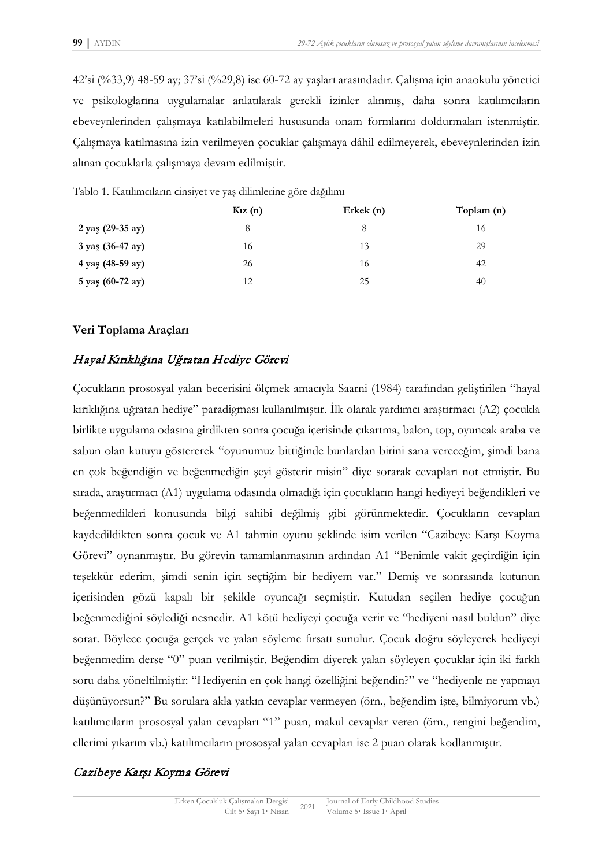42'si (%33,9) 48-59 ay; 37'si (%29,8) ise 60-72 ay yaşları arasındadır. Çalışma için anaokulu yönetici ve psikologlarına uygulamalar anlatılarak gerekli izinler alınmış, daha sonra katılımcıların ebeveynlerinden çalışmaya katılabilmeleri hususunda onam formlarını doldurmaları istenmiştir. Çalışmaya katılmasına izin verilmeyen çocuklar çalışmaya dâhil edilmeyerek, ebeveynlerinden izin alınan çocuklarla çalışmaya devam edilmiştir.

|                  | $K12$ (n) | Erkek $(n)$ | Toplam (n) |  |
|------------------|-----------|-------------|------------|--|
| 2 yaş (29-35 ay) | 8         | 8           | 16         |  |
| 3 yaş (36-47 ay) | 16        | 13          | 29         |  |
| 4 yaş (48-59 ay) | 26        | 16          | 42         |  |
| 5 yaş (60-72 ay) | 12        | 25          | 40         |  |

Tablo 1. Katılımcıların cinsiyet ve yaş dilimlerine göre dağılımı

#### **Veri Toplama Araçları**

## Hayal Kırıklığına Uğratan Hediye Görevi

Çocukların prososyal yalan becerisini ölçmek amacıyla Saarni (1984) tarafından geliştirilen "hayal kırıklığına uğratan hediye" paradigması kullanılmıştır. İlk olarak yardımcı araştırmacı (A2) çocukla birlikte uygulama odasına girdikten sonra çocuğa içerisinde çıkartma, balon, top, oyuncak araba ve sabun olan kutuyu göstererek "oyunumuz bittiğinde bunlardan birini sana vereceğim, şimdi bana en çok beğendiğin ve beğenmediğin şeyi gösterir misin" diye sorarak cevapları not etmiştir. Bu sırada, araştırmacı (A1) uygulama odasında olmadığı için çocukların hangi hediyeyi beğendikleri ve beğenmedikleri konusunda bilgi sahibi değilmiş gibi görünmektedir. Çocukların cevapları kaydedildikten sonra çocuk ve A1 tahmin oyunu şeklinde isim verilen "Cazibeye Karşı Koyma Görevi" oynanmıştır. Bu görevin tamamlanmasının ardından A1 "Benimle vakit geçirdiğin için teşekkür ederim, şimdi senin için seçtiğim bir hediyem var." Demiş ve sonrasında kutunun içerisinden gözü kapalı bir şekilde oyuncağı seçmiştir. Kutudan seçilen hediye çocuğun beğenmediğini söylediği nesnedir. A1 kötü hediyeyi çocuğa verir ve "hediyeni nasıl buldun" diye sorar. Böylece çocuğa gerçek ve yalan söyleme fırsatı sunulur. Çocuk doğru söyleyerek hediyeyi beğenmedim derse "0" puan verilmiştir. Beğendim diyerek yalan söyleyen çocuklar için iki farklı soru daha yöneltilmiştir: "Hediyenin en çok hangi özelliğini beğendin?" ve "hediyenle ne yapmayı düşünüyorsun?" Bu sorulara akla yatkın cevaplar vermeyen (örn., beğendim işte, bilmiyorum vb.) katılımcıların prososyal yalan cevapları "1" puan, makul cevaplar veren (örn., rengini beğendim, ellerimi yıkarım vb.) katılımcıların prososyal yalan cevapları ise 2 puan olarak kodlanmıştır.

## Cazibeye Karşı Koyma Görevi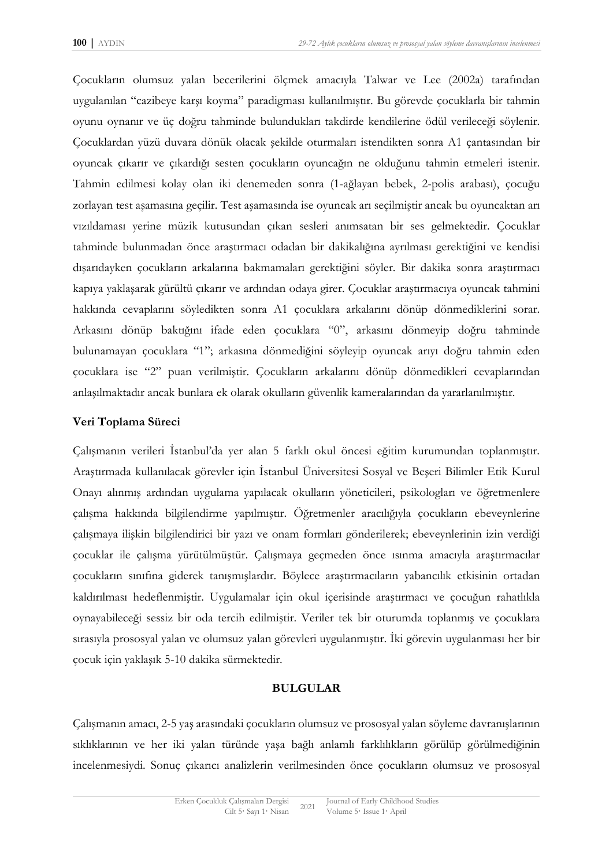Çocukların olumsuz yalan becerilerini ölçmek amacıyla Talwar ve Lee (2002a) tarafından uygulanılan "cazibeye karşı koyma" paradigması kullanılmıştır. Bu görevde çocuklarla bir tahmin oyunu oynanır ve üç doğru tahminde bulundukları takdirde kendilerine ödül verileceği söylenir. Çocuklardan yüzü duvara dönük olacak şekilde oturmaları istendikten sonra A1 çantasından bir oyuncak çıkarır ve çıkardığı sesten çocukların oyuncağın ne olduğunu tahmin etmeleri istenir. Tahmin edilmesi kolay olan iki denemeden sonra (1-ağlayan bebek, 2-polis arabası), çocuğu zorlayan test aşamasına geçilir. Test aşamasında ise oyuncak arı seçilmiştir ancak bu oyuncaktan arı vızıldaması yerine müzik kutusundan çıkan sesleri anımsatan bir ses gelmektedir. Çocuklar tahminde bulunmadan önce araştırmacı odadan bir dakikalığına ayrılması gerektiğini ve kendisi dışarıdayken çocukların arkalarına bakmamaları gerektiğini söyler. Bir dakika sonra araştırmacı kapıya yaklaşarak gürültü çıkarır ve ardından odaya girer. Çocuklar araştırmacıya oyuncak tahmini hakkında cevaplarını söyledikten sonra A1 çocuklara arkalarını dönüp dönmediklerini sorar. Arkasını dönüp baktığını ifade eden çocuklara "0", arkasını dönmeyip doğru tahminde bulunamayan çocuklara "1"; arkasına dönmediğini söyleyip oyuncak arıyı doğru tahmin eden çocuklara ise "2" puan verilmiştir. Çocukların arkalarını dönüp dönmedikleri cevaplarından anlaşılmaktadır ancak bunlara ek olarak okulların güvenlik kameralarından da yararlanılmıştır.

## **Veri Toplama Süreci**

Çalışmanın verileri İstanbul'da yer alan 5 farklı okul öncesi eğitim kurumundan toplanmıştır. Araştırmada kullanılacak görevler için İstanbul Üniversitesi Sosyal ve Beşeri Bilimler Etik Kurul Onayı alınmış ardından uygulama yapılacak okulların yöneticileri, psikologları ve öğretmenlere çalışma hakkında bilgilendirme yapılmıştır. Öğretmenler aracılığıyla çocukların ebeveynlerine çalışmaya ilişkin bilgilendirici bir yazı ve onam formları gönderilerek; ebeveynlerinin izin verdiği çocuklar ile çalışma yürütülmüştür. Çalışmaya geçmeden önce ısınma amacıyla araştırmacılar çocukların sınıfına giderek tanışmışlardır. Böylece araştırmacıların yabancılık etkisinin ortadan kaldırılması hedeflenmiştir. Uygulamalar için okul içerisinde araştırmacı ve çocuğun rahatlıkla oynayabileceği sessiz bir oda tercih edilmiştir. Veriler tek bir oturumda toplanmış ve çocuklara sırasıyla prososyal yalan ve olumsuz yalan görevleri uygulanmıştır. İki görevin uygulanması her bir çocuk için yaklaşık 5-10 dakika sürmektedir.

## **BULGULAR**

Çalışmanın amacı, 2-5 yaş arasındaki çocukların olumsuz ve prososyal yalan söyleme davranışlarının sıklıklarının ve her iki yalan türünde yaşa bağlı anlamlı farklılıkların görülüp görülmediğinin incelenmesiydi. Sonuç çıkarıcı analizlerin verilmesinden önce çocukların olumsuz ve prososyal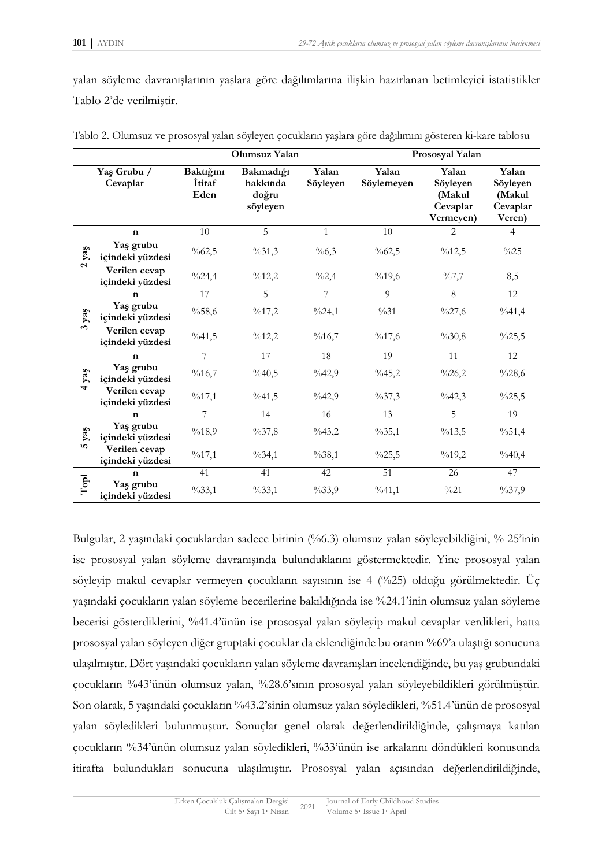yalan söyleme davranışlarının yaşlara göre dağılımlarına ilişkin hazırlanan betimleyici istatistikler Tablo 2'de verilmiştir.

|                           |                                   | Olumsuz Yalan                       |                                            |                   | Prososyal Yalan     |                                                      |                                                   |
|---------------------------|-----------------------------------|-------------------------------------|--------------------------------------------|-------------------|---------------------|------------------------------------------------------|---------------------------------------------------|
|                           | Yaş Grubu /<br>Cevaplar           | Baktığını<br><i>i</i> tiraf<br>Eden | Bakmadığı<br>hakkında<br>doğru<br>söyleyen | Yalan<br>Söyleyen | Yalan<br>Söylemeyen | Yalan<br>Söyleyen<br>(Makul<br>Cevaplar<br>Vermeyen) | Yalan<br>Söyleyen<br>(Makul<br>Cevaplar<br>Veren) |
| yaş<br>$\mathbf{a}$       | $\mathbf n$                       | 10                                  | 5                                          | $\mathbf{1}$      | 10                  | $\overline{2}$                                       | $\overline{4}$                                    |
|                           | Yaş grubu<br>içindeki yüzdesi     | $\%62,5$                            | $\%31,3$                                   | $\%6,3$           | $\%62,5$            | %12,5                                                | $\%25$                                            |
|                           | Verilen cevap<br>içindeki yüzdesi | $\frac{0}{24}$ ,4                   | $\%12,2$                                   | $\frac{0}{2}$ ,4  | $\%19,6$            | $\frac{9}{67,7}$                                     | 8,5                                               |
| yaş<br>$\mathbf{\hat{z}}$ | n                                 | 17                                  | 5                                          | 7                 | 9                   | 8                                                    | 12                                                |
|                           | Yaş grubu<br>içindeki yüzdesi     | $\%58,6$                            | $\%17,2$                                   | $\frac{9}{24}$ ,1 | $\%31$              | $\frac{0}{27,6}$                                     | $\%41,4$                                          |
|                           | Verilen cevap<br>içindeki yüzdesi | $\frac{9}{6}41,5$                   | $\frac{9}{6}$ 12,2                         | $\%16,7$          | $\%17,6$            | $\%30,8$                                             | $\frac{0}{25,5}$                                  |
| yaş<br>4                  | $\mathbf n$                       | 7                                   | 17                                         | 18                | 19                  | 11                                                   | 12                                                |
|                           | Yaş grubu<br>içindeki yüzdesi     | $\%16,7$                            | $\%40,5$                                   | $\frac{9}{6}42,9$ | $\%45,2$            | $\%26,2$                                             | $\%28,6$                                          |
|                           | Verilen cevap<br>içindeki yüzdesi | %17,1                               | $\frac{9}{6}41,5$                          | $\frac{9}{6}42,9$ | $\frac{9}{637,3}$   | $\frac{0}{6}42,3$                                    | $\frac{0}{25,5}$                                  |
| yaş<br>n,                 | $\mathbf n$                       | 7                                   | 14                                         | 16                | 13                  | $\overline{5}$                                       | 19                                                |
|                           | Yaş grubu<br>içindeki yüzdesi     | $\%18,9$                            | $\%37,8$                                   | $\frac{9}{6}43,2$ | $\%35,1$            | $\%13,5$                                             | $\%51,4$                                          |
|                           | Verilen cevap<br>içindeki yüzdesi | $\%17,1$                            | $\%34,1$                                   | $\%38,1$          | $\frac{0}{25,5}$    | $\%19,2$                                             | $\%40,4$                                          |
| $\mathbf{T}\mathbf{opl}$  | $\mathbf n$                       | 41                                  | 41                                         | 42                | 51                  | 26                                                   | 47                                                |
|                           | Yaş grubu<br>içindeki yüzdesi     | $\%33,1$                            | $\%33,1$                                   | $\%33,9$          | $\%41,1$            | $\frac{0}{21}$                                       | $\frac{9}{637,9}$                                 |

Tablo 2. Olumsuz ve prososyal yalan söyleyen çocukların yaşlara göre dağılımını gösteren ki-kare tablosu

Bulgular, 2 yaşındaki çocuklardan sadece birinin (%6.3) olumsuz yalan söyleyebildiğini, % 25'inin ise prososyal yalan söyleme davranışında bulunduklarını göstermektedir. Yine prososyal yalan söyleyip makul cevaplar vermeyen çocukların sayısının ise 4 (%25) olduğu görülmektedir. Üç yaşındaki çocukların yalan söyleme becerilerine bakıldığında ise %24.1'inin olumsuz yalan söyleme becerisi gösterdiklerini, %41.4'ünün ise prososyal yalan söyleyip makul cevaplar verdikleri, hatta prososyal yalan söyleyen diğer gruptaki çocuklar da eklendiğinde bu oranın %69'a ulaştığı sonucuna ulaşılmıştır. Dört yaşındaki çocukların yalan söyleme davranışları incelendiğinde, bu yaş grubundaki çocukların %43'ünün olumsuz yalan, %28.6'sının prososyal yalan söyleyebildikleri görülmüştür. Son olarak, 5 yaşındaki çocukların %43.2'sinin olumsuz yalan söyledikleri, %51.4'ünün de prososyal yalan söyledikleri bulunmuştur. Sonuçlar genel olarak değerlendirildiğinde, çalışmaya katılan çocukların %34'ünün olumsuz yalan söyledikleri, %33'ünün ise arkalarını döndükleri konusunda itirafta bulundukları sonucuna ulaşılmıştır. Prososyal yalan açısından değerlendirildiğinde,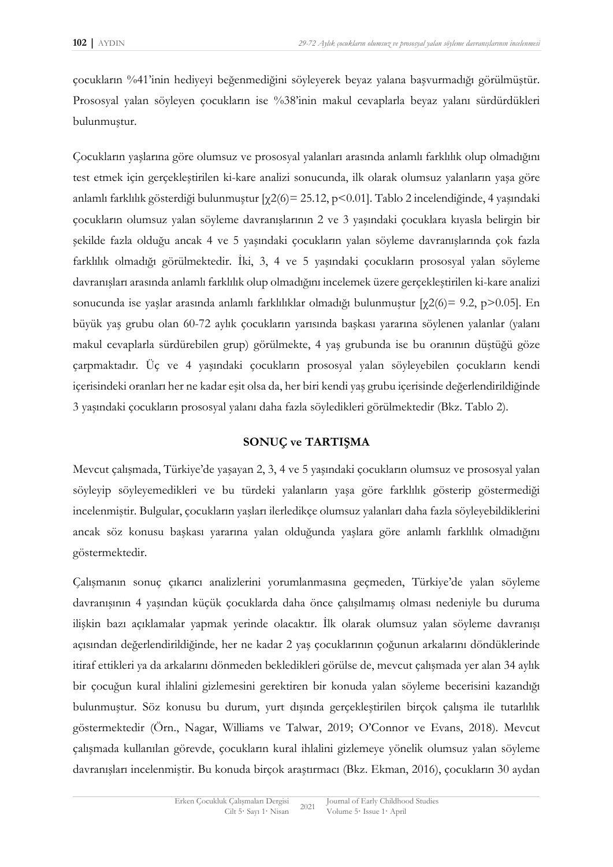çocukların %41'inin hediyeyi beğenmediğini söyleyerek beyaz yalana başvurmadığı görülmüştür. Prososyal yalan söyleyen çocukların ise %38'inin makul cevaplarla beyaz yalanı sürdürdükleri bulunmuştur.

Çocukların yaşlarına göre olumsuz ve prososyal yalanları arasında anlamlı farklılık olup olmadığını test etmek için gerçekleştirilen ki-kare analizi sonucunda, ilk olarak olumsuz yalanların yaşa göre anlamlı farklılık gösterdiği bulunmuştur [χ2(6)= 25.12, p<0.01]. Tablo 2 incelendiğinde, 4 yaşındaki çocukların olumsuz yalan söyleme davranışlarının 2 ve 3 yaşındaki çocuklara kıyasla belirgin bir şekilde fazla olduğu ancak 4 ve 5 yaşındaki çocukların yalan söyleme davranışlarında çok fazla farklılık olmadığı görülmektedir. İki, 3, 4 ve 5 yaşındaki çocukların prososyal yalan söyleme davranışları arasında anlamlı farklılık olup olmadığını incelemek üzere gerçekleştirilen ki-kare analizi sonucunda ise yaşlar arasında anlamlı farklılıklar olmadığı bulunmuştur [χ2(6)= 9.2, p>0.05]. En büyük yaş grubu olan 60-72 aylık çocukların yarısında başkası yararına söylenen yalanlar (yalanı makul cevaplarla sürdürebilen grup) görülmekte, 4 yaş grubunda ise bu oranının düştüğü göze çarpmaktadır. Üç ve 4 yaşındaki çocukların prososyal yalan söyleyebilen çocukların kendi içerisindeki oranları her ne kadar eşit olsa da, her biri kendi yaş grubu içerisinde değerlendirildiğinde 3 yaşındaki çocukların prososyal yalanı daha fazla söyledikleri görülmektedir (Bkz. Tablo 2).

#### **SONUÇ ve TARTIŞMA**

Mevcut çalışmada, Türkiye'de yaşayan 2, 3, 4 ve 5 yaşındaki çocukların olumsuz ve prososyal yalan söyleyip söyleyemedikleri ve bu türdeki yalanların yaşa göre farklılık gösterip göstermediği incelenmiştir. Bulgular, çocukların yaşları ilerledikçe olumsuz yalanları daha fazla söyleyebildiklerini ancak söz konusu başkası yararına yalan olduğunda yaşlara göre anlamlı farklılık olmadığını göstermektedir.

Çalışmanın sonuç çıkarıcı analizlerini yorumlanmasına geçmeden, Türkiye'de yalan söyleme davranışının 4 yaşından küçük çocuklarda daha önce çalışılmamış olması nedeniyle bu duruma ilişkin bazı açıklamalar yapmak yerinde olacaktır. İlk olarak olumsuz yalan söyleme davranışı açısından değerlendirildiğinde, her ne kadar 2 yaş çocuklarının çoğunun arkalarını döndüklerinde itiraf ettikleri ya da arkalarını dönmeden bekledikleri görülse de, mevcut çalışmada yer alan 34 aylık bir çocuğun kural ihlalini gizlemesini gerektiren bir konuda yalan söyleme becerisini kazandığı bulunmuştur. Söz konusu bu durum, yurt dışında gerçekleştirilen birçok çalışma ile tutarlılık göstermektedir (Örn., Nagar, Williams ve Talwar, 2019; O'Connor ve Evans, 2018). Mevcut çalışmada kullanılan görevde, çocukların kural ihlalini gizlemeye yönelik olumsuz yalan söyleme davranışları incelenmiştir. Bu konuda birçok araştırmacı (Bkz. Ekman, 2016), çocukların 30 aydan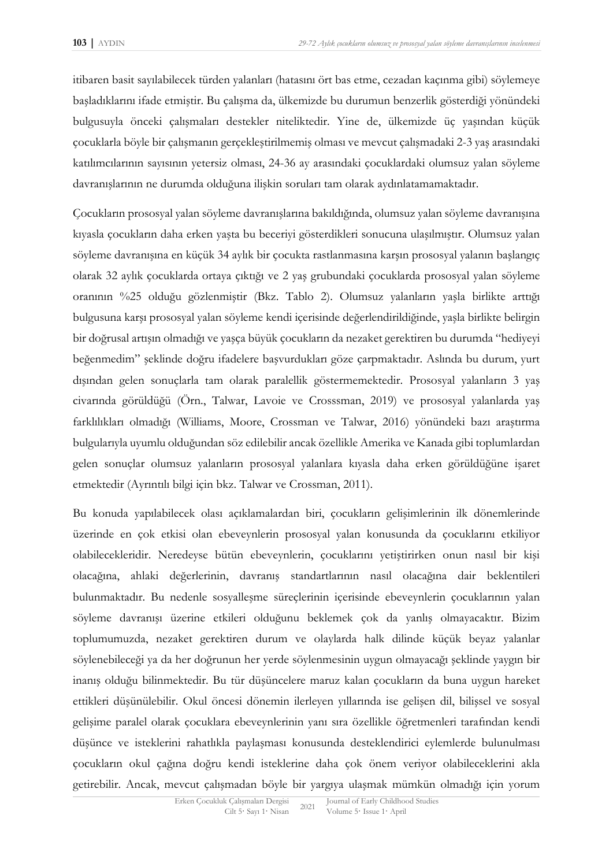itibaren basit sayılabilecek türden yalanları (hatasını ört bas etme, cezadan kaçınma gibi) söylemeye başladıklarını ifade etmiştir. Bu çalışma da, ülkemizde bu durumun benzerlik gösterdiği yönündeki bulgusuyla önceki çalışmaları destekler niteliktedir. Yine de, ülkemizde üç yaşından küçük çocuklarla böyle bir çalışmanın gerçekleştirilmemiş olması ve mevcut çalışmadaki 2-3 yaş arasındaki katılımcılarının sayısının yetersiz olması, 24-36 ay arasındaki çocuklardaki olumsuz yalan söyleme davranışlarının ne durumda olduğuna ilişkin soruları tam olarak aydınlatamamaktadır.

Çocukların prososyal yalan söyleme davranışlarına bakıldığında, olumsuz yalan söyleme davranışına kıyasla çocukların daha erken yaşta bu beceriyi gösterdikleri sonucuna ulaşılmıştır. Olumsuz yalan söyleme davranışına en küçük 34 aylık bir çocukta rastlanmasına karşın prososyal yalanın başlangıç olarak 32 aylık çocuklarda ortaya çıktığı ve 2 yaş grubundaki çocuklarda prososyal yalan söyleme oranının %25 olduğu gözlenmiştir (Bkz. Tablo 2). Olumsuz yalanların yaşla birlikte arttığı bulgusuna karşı prososyal yalan söyleme kendi içerisinde değerlendirildiğinde, yaşla birlikte belirgin bir doğrusal artışın olmadığı ve yaşça büyük çocukların da nezaket gerektiren bu durumda "hediyeyi beğenmedim" şeklinde doğru ifadelere başvurdukları göze çarpmaktadır. Aslında bu durum, yurt dışından gelen sonuçlarla tam olarak paralellik göstermemektedir. Prososyal yalanların 3 yaş civarında görüldüğü (Örn., Talwar, Lavoie ve Crosssman, 2019) ve prososyal yalanlarda yaş farklılıkları olmadığı (Williams, Moore, Crossman ve Talwar, 2016) yönündeki bazı araştırma bulgularıyla uyumlu olduğundan söz edilebilir ancak özellikle Amerika ve Kanada gibi toplumlardan gelen sonuçlar olumsuz yalanların prososyal yalanlara kıyasla daha erken görüldüğüne işaret etmektedir (Ayrıntılı bilgi için bkz. Talwar ve Crossman, 2011).

Bu konuda yapılabilecek olası açıklamalardan biri, çocukların gelişimlerinin ilk dönemlerinde üzerinde en çok etkisi olan ebeveynlerin prososyal yalan konusunda da çocuklarını etkiliyor olabilecekleridir. Neredeyse bütün ebeveynlerin, çocuklarını yetiştirirken onun nasıl bir kişi olacağına, ahlaki değerlerinin, davranış standartlarının nasıl olacağına dair beklentileri bulunmaktadır. Bu nedenle sosyalleşme süreçlerinin içerisinde ebeveynlerin çocuklarının yalan söyleme davranışı üzerine etkileri olduğunu beklemek çok da yanlış olmayacaktır. Bizim toplumumuzda, nezaket gerektiren durum ve olaylarda halk dilinde küçük beyaz yalanlar söylenebileceği ya da her doğrunun her yerde söylenmesinin uygun olmayacağı şeklinde yaygın bir inanış olduğu bilinmektedir. Bu tür düşüncelere maruz kalan çocukların da buna uygun hareket ettikleri düşünülebilir. Okul öncesi dönemin ilerleyen yıllarında ise gelişen dil, bilişsel ve sosyal gelişime paralel olarak çocuklara ebeveynlerinin yanı sıra özellikle öğretmenleri tarafından kendi düşünce ve isteklerini rahatlıkla paylaşması konusunda desteklendirici eylemlerde bulunulması çocukların okul çağına doğru kendi isteklerine daha çok önem veriyor olabileceklerini akla getirebilir. Ancak, mevcut çalışmadan böyle bir yargıya ulaşmak mümkün olmadığı için yorum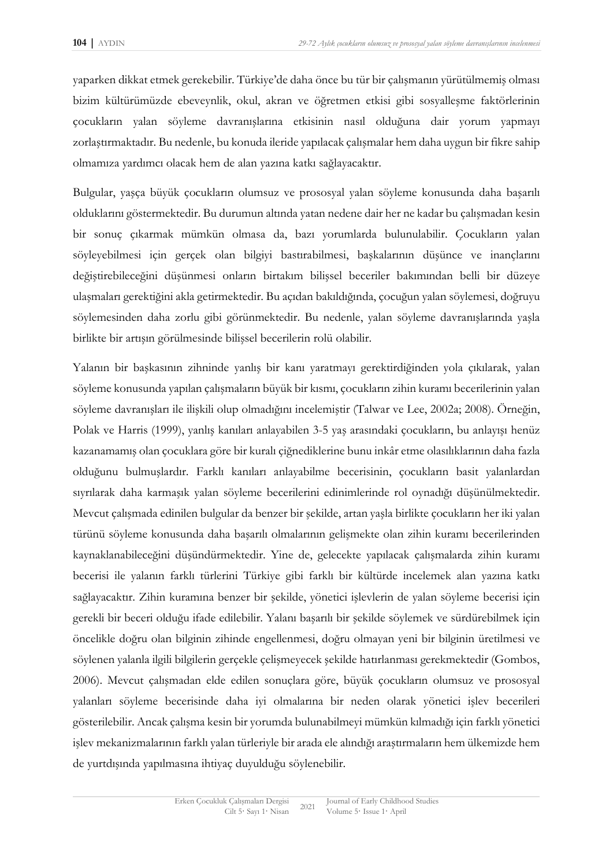yaparken dikkat etmek gerekebilir. Türkiye'de daha önce bu tür bir çalışmanın yürütülmemiş olması bizim kültürümüzde ebeveynlik, okul, akran ve öğretmen etkisi gibi sosyalleşme faktörlerinin çocukların yalan söyleme davranışlarına etkisinin nasıl olduğuna dair yorum yapmayı zorlaştırmaktadır. Bu nedenle, bu konuda ileride yapılacak çalışmalar hem daha uygun bir fikre sahip olmamıza yardımcı olacak hem de alan yazına katkı sağlayacaktır.

Bulgular, yaşça büyük çocukların olumsuz ve prososyal yalan söyleme konusunda daha başarılı olduklarını göstermektedir. Bu durumun altında yatan nedene dair her ne kadar bu çalışmadan kesin bir sonuç çıkarmak mümkün olmasa da, bazı yorumlarda bulunulabilir. Çocukların yalan söyleyebilmesi için gerçek olan bilgiyi bastırabilmesi, başkalarının düşünce ve inançlarını değiştirebileceğini düşünmesi onların birtakım bilişsel beceriler bakımından belli bir düzeye ulaşmaları gerektiğini akla getirmektedir. Bu açıdan bakıldığında, çocuğun yalan söylemesi, doğruyu söylemesinden daha zorlu gibi görünmektedir. Bu nedenle, yalan söyleme davranışlarında yaşla birlikte bir artışın görülmesinde bilişsel becerilerin rolü olabilir.

Yalanın bir başkasının zihninde yanlış bir kanı yaratmayı gerektirdiğinden yola çıkılarak, yalan söyleme konusunda yapılan çalışmaların büyük bir kısmı, çocukların zihin kuramı becerilerinin yalan söyleme davranışları ile ilişkili olup olmadığını incelemiştir (Talwar ve Lee, 2002a; 2008). Örneğin, Polak ve Harris (1999), yanlış kanıları anlayabilen 3-5 yaş arasındaki çocukların, bu anlayışı henüz kazanamamış olan çocuklara göre bir kuralı çiğnediklerine bunu inkâr etme olasılıklarının daha fazla olduğunu bulmuşlardır. Farklı kanıları anlayabilme becerisinin, çocukların basit yalanlardan sıyrılarak daha karmaşık yalan söyleme becerilerini edinimlerinde rol oynadığı düşünülmektedir. Mevcut çalışmada edinilen bulgular da benzer bir şekilde, artan yaşla birlikte çocukların her iki yalan türünü söyleme konusunda daha başarılı olmalarının gelişmekte olan zihin kuramı becerilerinden kaynaklanabileceğini düşündürmektedir. Yine de, gelecekte yapılacak çalışmalarda zihin kuramı becerisi ile yalanın farklı türlerini Türkiye gibi farklı bir kültürde incelemek alan yazına katkı sağlayacaktır. Zihin kuramına benzer bir şekilde, yönetici işlevlerin de yalan söyleme becerisi için gerekli bir beceri olduğu ifade edilebilir. Yalanı başarılı bir şekilde söylemek ve sürdürebilmek için öncelikle doğru olan bilginin zihinde engellenmesi, doğru olmayan yeni bir bilginin üretilmesi ve söylenen yalanla ilgili bilgilerin gerçekle çelişmeyecek şekilde hatırlanması gerekmektedir (Gombos, 2006). Mevcut çalışmadan elde edilen sonuçlara göre, büyük çocukların olumsuz ve prososyal yalanları söyleme becerisinde daha iyi olmalarına bir neden olarak yönetici işlev becerileri gösterilebilir. Ancak çalışma kesin bir yorumda bulunabilmeyi mümkün kılmadığı için farklı yönetici işlev mekanizmalarının farklı yalan türleriyle bir arada ele alındığı araştırmaların hem ülkemizde hem de yurtdışında yapılmasına ihtiyaç duyulduğu söylenebilir.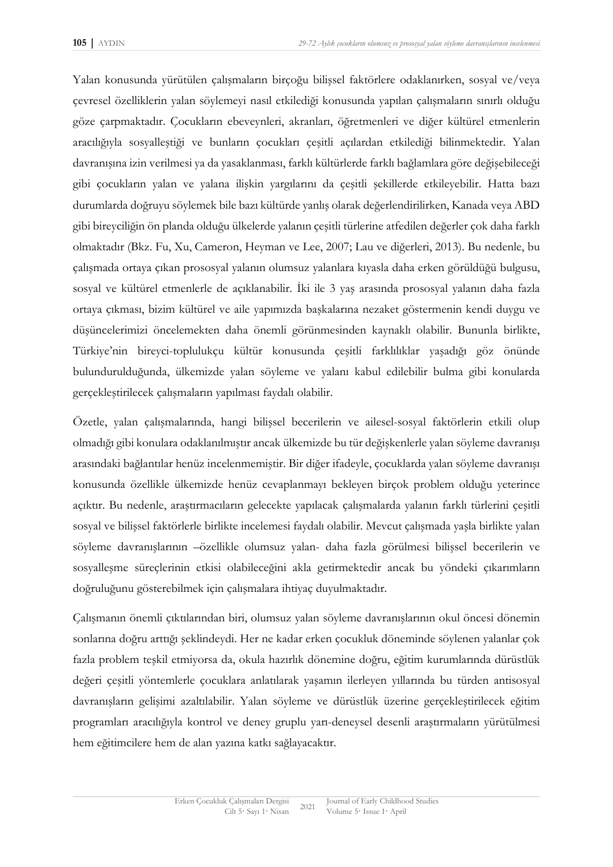Yalan konusunda yürütülen çalışmaların birçoğu bilişsel faktörlere odaklanırken, sosyal ve/veya çevresel özelliklerin yalan söylemeyi nasıl etkilediği konusunda yapılan çalışmaların sınırlı olduğu göze çarpmaktadır. Çocukların ebeveynleri, akranları, öğretmenleri ve diğer kültürel etmenlerin aracılığıyla sosyalleştiği ve bunların çocukları çeşitli açılardan etkilediği bilinmektedir. Yalan davranışına izin verilmesi ya da yasaklanması, farklı kültürlerde farklı bağlamlara göre değişebileceği gibi çocukların yalan ve yalana ilişkin yargılarını da çeşitli şekillerde etkileyebilir. Hatta bazı durumlarda doğruyu söylemek bile bazı kültürde yanlış olarak değerlendirilirken, Kanada veya ABD gibi bireyciliğin ön planda olduğu ülkelerde yalanın çeşitli türlerine atfedilen değerler çok daha farklı olmaktadır (Bkz. Fu, Xu, Cameron, Heyman ve Lee, 2007; Lau ve diğerleri, 2013). Bu nedenle, bu çalışmada ortaya çıkan prososyal yalanın olumsuz yalanlara kıyasla daha erken görüldüğü bulgusu, sosyal ve kültürel etmenlerle de açıklanabilir. İki ile 3 yaş arasında prososyal yalanın daha fazla ortaya çıkması, bizim kültürel ve aile yapımızda başkalarına nezaket göstermenin kendi duygu ve düşüncelerimizi öncelemekten daha önemli görünmesinden kaynaklı olabilir. Bununla birlikte, Türkiye'nin bireyci-toplulukçu kültür konusunda çeşitli farklılıklar yaşadığı göz önünde bulundurulduğunda, ülkemizde yalan söyleme ve yalanı kabul edilebilir bulma gibi konularda gerçekleştirilecek çalışmaların yapılması faydalı olabilir.

Özetle, yalan çalışmalarında, hangi bilişsel becerilerin ve ailesel-sosyal faktörlerin etkili olup olmadığı gibi konulara odaklanılmıştır ancak ülkemizde bu tür değişkenlerle yalan söyleme davranışı arasındaki bağlantılar henüz incelenmemiştir. Bir diğer ifadeyle, çocuklarda yalan söyleme davranışı konusunda özellikle ülkemizde henüz cevaplanmayı bekleyen birçok problem olduğu yeterince açıktır. Bu nedenle, araştırmacıların gelecekte yapılacak çalışmalarda yalanın farklı türlerini çeşitli sosyal ve bilişsel faktörlerle birlikte incelemesi faydalı olabilir. Mevcut çalışmada yaşla birlikte yalan söyleme davranışlarının –özellikle olumsuz yalan- daha fazla görülmesi bilişsel becerilerin ve sosyalleşme süreçlerinin etkisi olabileceğini akla getirmektedir ancak bu yöndeki çıkarımların doğruluğunu gösterebilmek için çalışmalara ihtiyaç duyulmaktadır.

Çalışmanın önemli çıktılarından biri, olumsuz yalan söyleme davranışlarının okul öncesi dönemin sonlarına doğru arttığı şeklindeydi. Her ne kadar erken çocukluk döneminde söylenen yalanlar çok fazla problem teşkil etmiyorsa da, okula hazırlık dönemine doğru, eğitim kurumlarında dürüstlük değeri çeşitli yöntemlerle çocuklara anlatılarak yaşamın ilerleyen yıllarında bu türden antisosyal davranışların gelişimi azaltılabilir. Yalan söyleme ve dürüstlük üzerine gerçekleştirilecek eğitim programları aracılığıyla kontrol ve deney gruplu yarı-deneysel desenli araştırmaların yürütülmesi hem eğitimcilere hem de alan yazına katkı sağlayacaktır.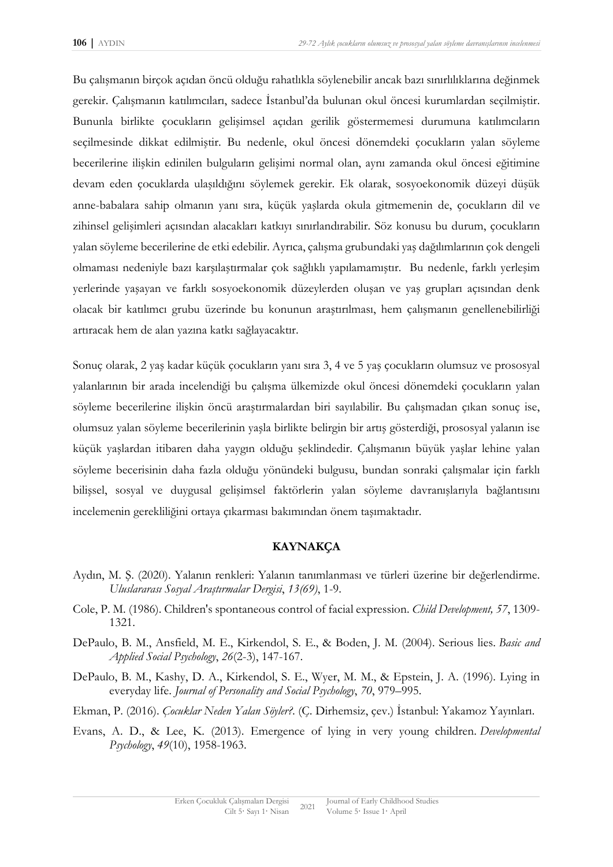Bu çalışmanın birçok açıdan öncü olduğu rahatlıkla söylenebilir ancak bazı sınırlılıklarına değinmek gerekir. Çalışmanın katılımcıları, sadece İstanbul'da bulunan okul öncesi kurumlardan seçilmiştir. Bununla birlikte çocukların gelişimsel açıdan gerilik göstermemesi durumuna katılımcıların seçilmesinde dikkat edilmiştir. Bu nedenle, okul öncesi dönemdeki çocukların yalan söyleme becerilerine ilişkin edinilen bulguların gelişimi normal olan, aynı zamanda okul öncesi eğitimine devam eden çocuklarda ulaşıldığını söylemek gerekir. Ek olarak, sosyoekonomik düzeyi düşük anne-babalara sahip olmanın yanı sıra, küçük yaşlarda okula gitmemenin de, çocukların dil ve zihinsel gelişimleri açısından alacakları katkıyı sınırlandırabilir. Söz konusu bu durum, çocukların yalan söyleme becerilerine de etki edebilir. Ayrıca, çalışma grubundaki yaş dağılımlarının çok dengeli olmaması nedeniyle bazı karşılaştırmalar çok sağlıklı yapılamamıştır. Bu nedenle, farklı yerleşim yerlerinde yaşayan ve farklı sosyoekonomik düzeylerden oluşan ve yaş grupları açısından denk olacak bir katılımcı grubu üzerinde bu konunun araştırılması, hem çalışmanın genellenebilirliği artıracak hem de alan yazına katkı sağlayacaktır.

Sonuç olarak, 2 yaş kadar küçük çocukların yanı sıra 3, 4 ve 5 yaş çocukların olumsuz ve prososyal yalanlarının bir arada incelendiği bu çalışma ülkemizde okul öncesi dönemdeki çocukların yalan söyleme becerilerine ilişkin öncü araştırmalardan biri sayılabilir. Bu çalışmadan çıkan sonuç ise, olumsuz yalan söyleme becerilerinin yaşla birlikte belirgin bir artış gösterdiği, prososyal yalanın ise küçük yaşlardan itibaren daha yaygın olduğu şeklindedir. Çalışmanın büyük yaşlar lehine yalan söyleme becerisinin daha fazla olduğu yönündeki bulgusu, bundan sonraki çalışmalar için farklı bilişsel, sosyal ve duygusal gelişimsel faktörlerin yalan söyleme davranışlarıyla bağlantısını incelemenin gerekliliğini ortaya çıkarması bakımından önem taşımaktadır.

## **KAYNAKÇA**

- Aydın, M. Ş. (2020). Yalanın renkleri: Yalanın tanımlanması ve türleri üzerine bir değerlendirme. *Uluslararası Sosyal Araştırmalar Dergisi*, *13(69)*, 1-9.
- Cole, P. M. (1986). Children's spontaneous control of facial expression. *Child Development, 57*, 1309- 1321.
- DePaulo, B. M., Ansfield, M. E., Kirkendol, S. E., & Boden, J. M. (2004). Serious lies. *Basic and Applied Social Psychology*, *26*(2-3), 147-167.
- DePaulo, B. M., Kashy, D. A., Kirkendol, S. E., Wyer, M. M., & Epstein, J. A. (1996). Lying in everyday life. *Journal of Personality and Social Psychology*, *70*, 979–995.
- Ekman, P. (2016). *Çocuklar Neden Yalan Söyler?*. (Ç. Dirhemsiz, çev.) İstanbul: Yakamoz Yayınları.
- Evans, A. D., & Lee, K. (2013). Emergence of lying in very young children. *Developmental Psychology*, *49*(10), 1958-1963.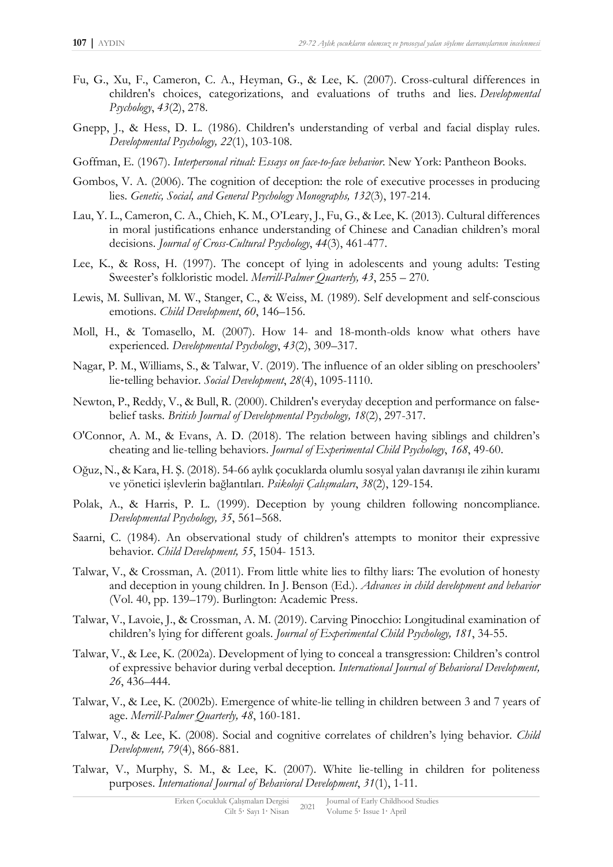- Fu, G., Xu, F., Cameron, C. A., Heyman, G., & Lee, K. (2007). Cross-cultural differences in children's choices, categorizations, and evaluations of truths and lies. *Developmental Psychology*, *43*(2), 278.
- Gnepp, J., & Hess, D. L. (1986). Children's understanding of verbal and facial display rules. *Developmental Psychology, 22*(1), 103-108.
- Goffman, E. (1967). *Interpersonal ritual: Essays on face-to-face behavior*. New York: Pantheon Books.
- Gombos, V. A. (2006). The cognition of deception: the role of executive processes in producing lies. *Genetic, Social, and General Psychology Monographs, 132*(3), 197-214.
- Lau, Y. L., Cameron, C. A., Chieh, K. M., O'Leary, J., Fu, G., & Lee, K. (2013). Cultural differences in moral justifications enhance understanding of Chinese and Canadian children's moral decisions. *Journal of Cross-Cultural Psychology*, *44*(3), 461-477.
- Lee, K., & Ross, H. (1997). The concept of lying in adolescents and young adults: Testing Sweester's folkloristic model. *Merrill-Palmer Quarterly, 43*, 255 – 270.
- Lewis, M. Sullivan, M. W., Stanger, C., & Weiss, M. (1989). Self development and self-conscious emotions. *Child Development*, *60*, 146–156.
- Moll, H., & Tomasello, M. (2007). How 14- and 18-month-olds know what others have experienced. *Developmental Psychology*, *43*(2), 309–317.
- Nagar, P. M., Williams, S., & Talwar, V. (2019). The influence of an older sibling on preschoolers' lie‐telling behavior. *Social Development*, *28*(4), 1095-1110.
- Newton, P., Reddy, V., & Bull, R. (2000). Children's everyday deception and performance on false‐ belief tasks. *British Journal of Developmental Psychology, 18*(2), 297-317.
- O'Connor, A. M., & Evans, A. D. (2018). The relation between having siblings and children's cheating and lie-telling behaviors. *Journal of Experimental Child Psychology*, *168*, 49-60.
- Oğuz, N., & Kara, H. Ş. (2018). 54-66 aylık çocuklarda olumlu sosyal yalan davranışı ile zihin kuramı ve yönetici işlevlerin bağlantıları. *Psikoloji Çalışmaları*, *38*(2), 129-154.
- Polak, A., & Harris, P. L. (1999). Deception by young children following noncompliance. *Developmental Psychology, 35*, 561–568.
- Saarni, C. (1984). An observational study of children's attempts to monitor their expressive behavior. *Child Development, 55*, 1504- 1513.
- Talwar, V., & Crossman, A. (2011). From little white lies to filthy liars: The evolution of honesty and deception in young children. In J. Benson (Ed.). *Advances in child development and behavior* (Vol. 40, pp. 139–179). Burlington: Academic Press.
- Talwar, V., Lavoie, J., & Crossman, A. M. (2019). Carving Pinocchio: Longitudinal examination of children's lying for different goals. *Journal of Experimental Child Psychology, 181*, 34-55.
- Talwar, V., & Lee, K. (2002a). Development of lying to conceal a transgression: Children's control of expressive behavior during verbal deception. *International Journal of Behavioral Development, 26*, 436–444.
- Talwar, V., & Lee, K. (2002b). Emergence of white-lie telling in children between 3 and 7 years of age. *Merrill-Palmer Quarterly, 48*, 160-181.
- Talwar, V., & Lee, K. (2008). Social and cognitive correlates of children's lying behavior. *Child Development, 79*(4), 866-881.
- Talwar, V., Murphy, S. M., & Lee, K. (2007). White lie-telling in children for politeness purposes. *International Journal of Behavioral Development*, *31*(1), 1-11.